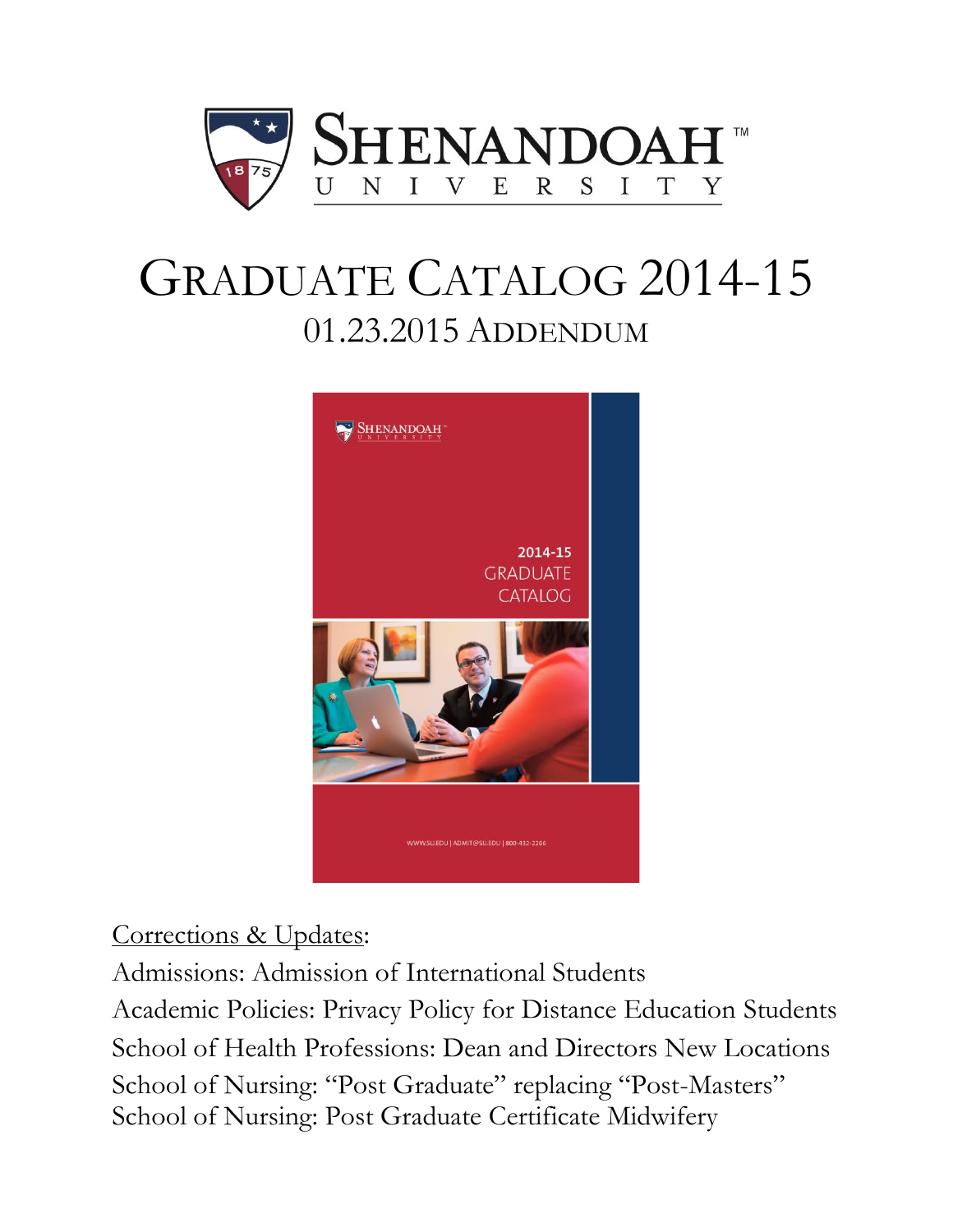

# GRADUATE CATALOG 2014-15 01.23.2015 ADDENDUM



# Corrections & Updates:

Admissions: Admission of International Students Academic Policies: Privacy Policy for Distance Education Students School of Health Professions: Dean and Directors New Locations School of Nursing: "Post Graduate" replacing "Post-Masters" School of Nursing: Post Graduate Certificate Midwifery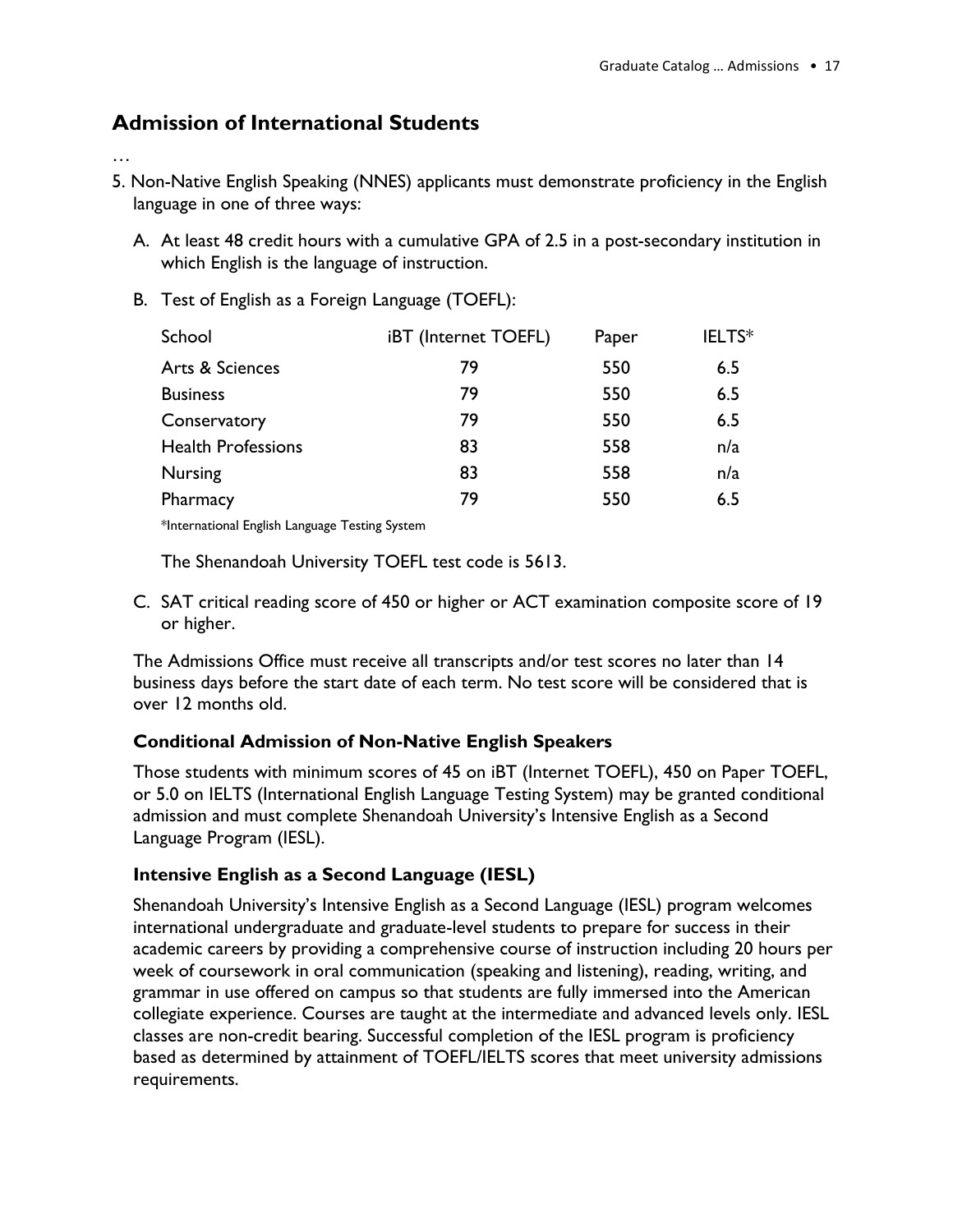#### **Admission of International Students**

#### …

- 5. Non-Native English Speaking (NNES) applicants must demonstrate proficiency in the English language in one of three ways:
	- A. At least 48 credit hours with a cumulative GPA of 2.5 in a post-secondary institution in which English is the language of instruction.
	- B. Test of English as a Foreign Language (TOEFL):

| iBT (Internet TOEFL) | Paper | IELTS* |
|----------------------|-------|--------|
| 79                   | 550   | 6.5    |
| 79                   | 550   | 6.5    |
| 79                   | 550   | 6.5    |
| 83                   | 558   | n/a    |
| 83                   | 558   | n/a    |
| 79                   | 550   | 6.5    |
|                      |       |        |

\*International English Language Testing System

The Shenandoah University TOEFL test code is 5613.

C. SAT critical reading score of 450 or higher or ACT examination composite score of 19 or higher.

The Admissions Office must receive all transcripts and/or test scores no later than 14 business days before the start date of each term. No test score will be considered that is over 12 months old.

#### **Conditional Admission of Non-Native English Speakers**

Those students with minimum scores of 45 on iBT (Internet TOEFL), 450 on Paper TOEFL, or 5.0 on IELTS (International English Language Testing System) may be granted conditional admission and must complete Shenandoah University's Intensive English as a Second Language Program (IESL).

#### **Intensive English as a Second Language (IESL)**

Shenandoah University's Intensive English as a Second Language (IESL) program welcomes international undergraduate and graduate-level students to prepare for success in their academic careers by providing a comprehensive course of instruction including 20 hours per week of coursework in oral communication (speaking and listening), reading, writing, and grammar in use offered on campus so that students are fully immersed into the American collegiate experience. Courses are taught at the intermediate and advanced levels only. IESL classes are non-credit bearing. Successful completion of the IESL program is proficiency based as determined by attainment of TOEFL/IELTS scores that meet university admissions requirements.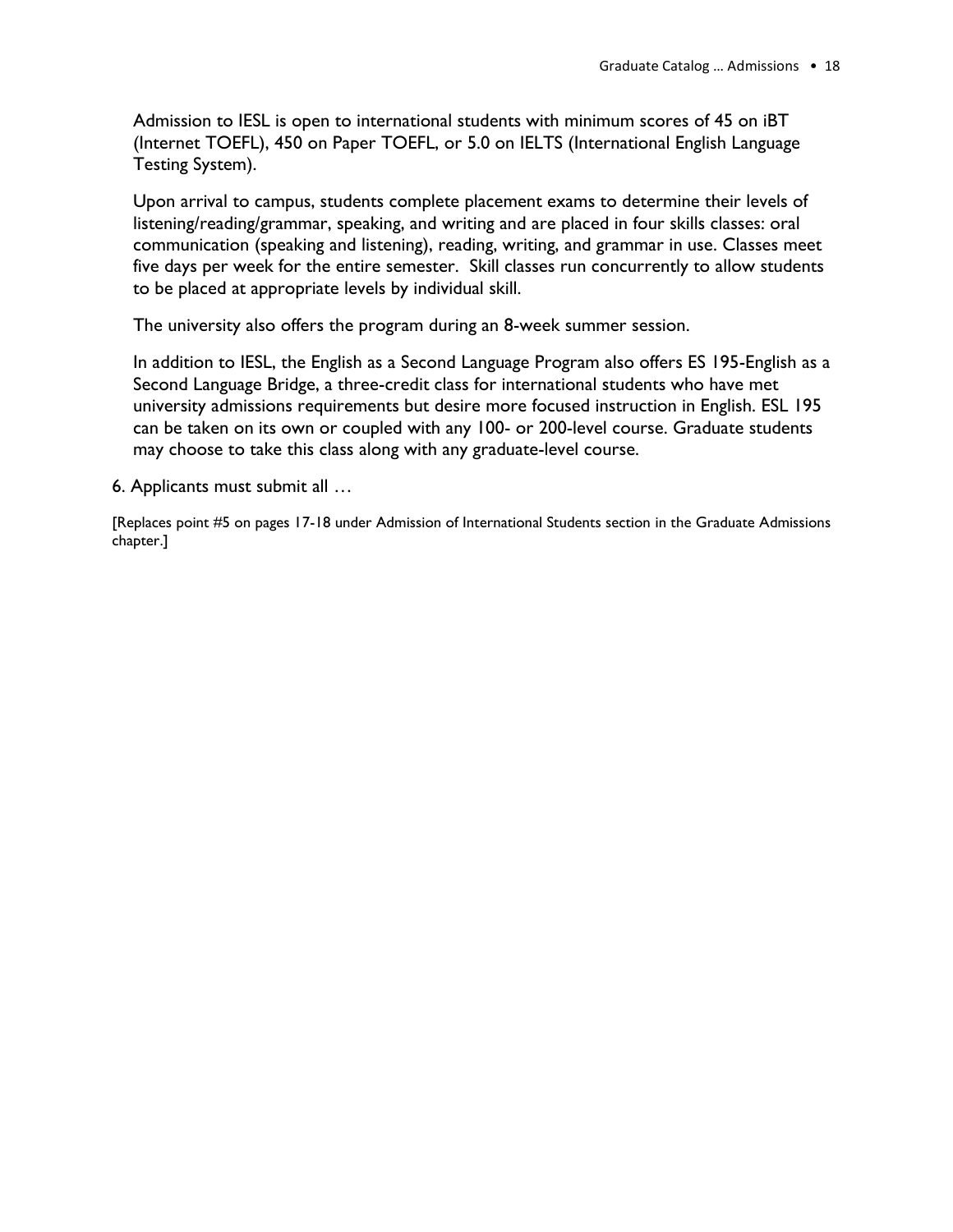Admission to IESL is open to international students with minimum scores of 45 on iBT (Internet TOEFL), 450 on Paper TOEFL, or 5.0 on IELTS (International English Language Testing System).

Upon arrival to campus, students complete placement exams to determine their levels of listening/reading/grammar, speaking, and writing and are placed in four skills classes: oral communication (speaking and listening), reading, writing, and grammar in use. Classes meet five days per week for the entire semester. Skill classes run concurrently to allow students to be placed at appropriate levels by individual skill.

The university also offers the program during an 8-week summer session.

In addition to IESL, the English as a Second Language Program also offers ES 195-English as a Second Language Bridge, a three-credit class for international students who have met university admissions requirements but desire more focused instruction in English. ESL 195 can be taken on its own or coupled with any 100- or 200-level course. Graduate students may choose to take this class along with any graduate-level course.

6. Applicants must submit all …

[Replaces point #5 on pages 17-18 under Admission of International Students section in the Graduate Admissions chapter.]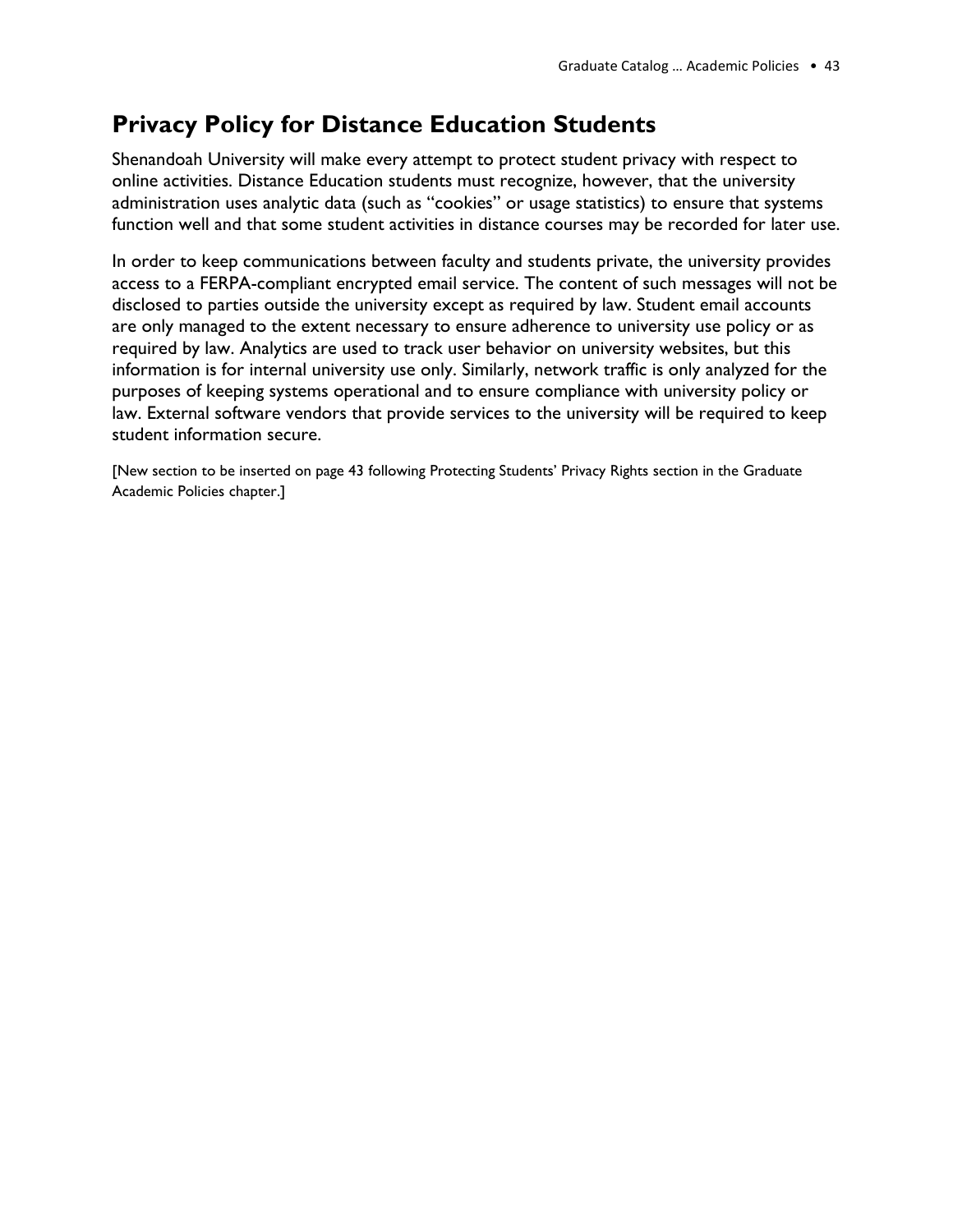# **Privacy Policy for Distance Education Students**

Shenandoah University will make every attempt to protect student privacy with respect to online activities. Distance Education students must recognize, however, that the university administration uses analytic data (such as "cookies" or usage statistics) to ensure that systems function well and that some student activities in distance courses may be recorded for later use.

In order to keep communications between faculty and students private, the university provides access to a FERPA-compliant encrypted email service. The content of such messages will not be disclosed to parties outside the university except as required by law. Student email accounts are only managed to the extent necessary to ensure adherence to university use policy or as required by law. Analytics are used to track user behavior on university websites, but this information is for internal university use only. Similarly, network traffic is only analyzed for the purposes of keeping systems operational and to ensure compliance with university policy or law. External software vendors that provide services to the university will be required to keep student information secure.

[New section to be inserted on page 43 following Protecting Students' Privacy Rights section in the Graduate Academic Policies chapter.]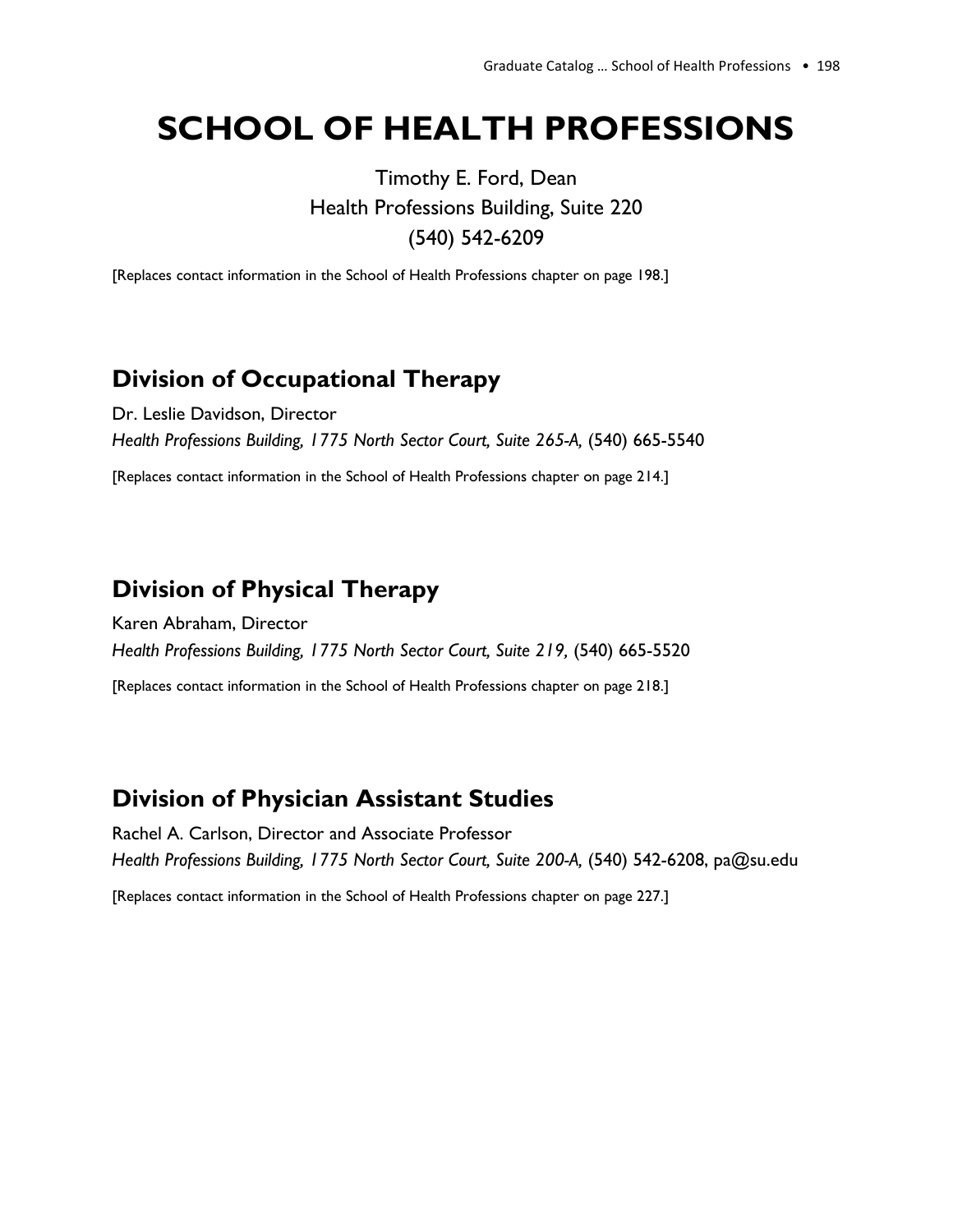# **SCHOOL OF HEALTH PROFESSIONS**

Timothy E. Ford, Dean Health Professions Building, Suite 220 (540) 542-6209

[Replaces contact information in the School of Health Professions chapter on page 198.]

# **Division of Occupational Therapy**

Dr. Leslie Davidson, Director *Health Professions Building, 1775 North Sector Court, Suite 265-A,* (540) 665-5540

[Replaces contact information in the School of Health Professions chapter on page 214.]

#### **Division of Physical Therapy**

Karen Abraham, Director *Health Professions Building, 1775 North Sector Court, Suite 219,* (540) 665-5520

[Replaces contact information in the School of Health Professions chapter on page 218.]

#### **Division of Physician Assistant Studies**

Rachel A. Carlson, Director and Associate Professor *Health Professions Building, 1775 North Sector Court, Suite 200-A,* (540) 542-6208, pa@su.edu

[Replaces contact information in the School of Health Professions chapter on page 227.]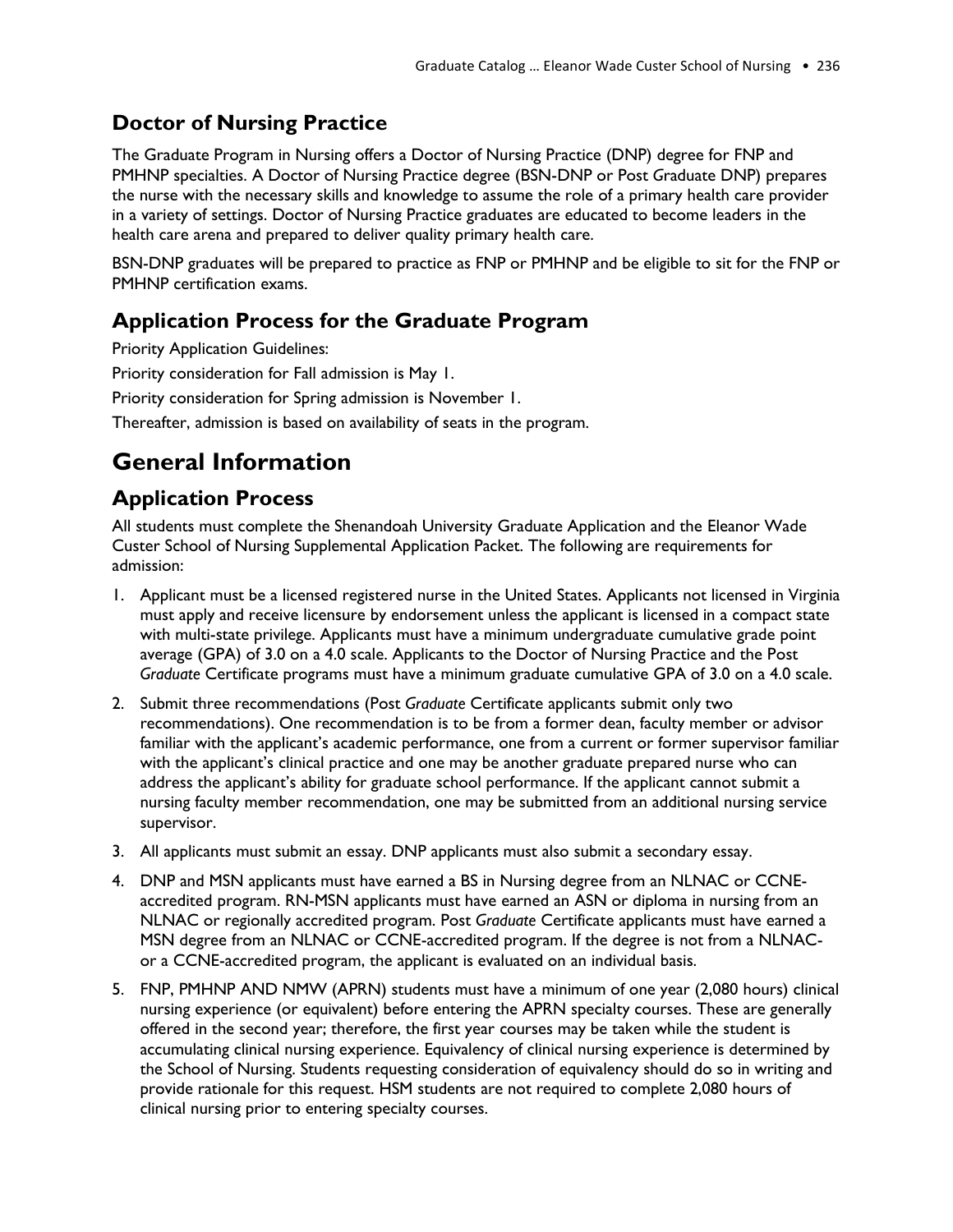#### **Doctor of Nursing Practice**

The Graduate Program in Nursing offers a Doctor of Nursing Practice (DNP) degree for FNP and PMHNP specialties. A Doctor of Nursing Practice degree (BSN-DNP or Post *G*raduate DNP) prepares the nurse with the necessary skills and knowledge to assume the role of a primary health care provider in a variety of settings. Doctor of Nursing Practice graduates are educated to become leaders in the health care arena and prepared to deliver quality primary health care.

BSN-DNP graduates will be prepared to practice as FNP or PMHNP and be eligible to sit for the FNP or PMHNP certification exams.

#### **Application Process for the Graduate Program**

Priority Application Guidelines: Priority consideration for Fall admission is May 1. Priority consideration for Spring admission is November 1. Thereafter, admission is based on availability of seats in the program.

# **General Information**

#### **Application Process**

All students must complete the Shenandoah University Graduate Application and the Eleanor Wade Custer School of Nursing Supplemental Application Packet. The following are requirements for admission:

- 1. Applicant must be a licensed registered nurse in the United States. Applicants not licensed in Virginia must apply and receive licensure by endorsement unless the applicant is licensed in a compact state with multi-state privilege. Applicants must have a minimum undergraduate cumulative grade point average (GPA) of 3.0 on a 4.0 scale. Applicants to the Doctor of Nursing Practice and the Post *Graduate* Certificate programs must have a minimum graduate cumulative GPA of 3.0 on a 4.0 scale.
- 2. Submit three recommendations (Post *Graduate* Certificate applicants submit only two recommendations). One recommendation is to be from a former dean, faculty member or advisor familiar with the applicant's academic performance, one from a current or former supervisor familiar with the applicant's clinical practice and one may be another graduate prepared nurse who can address the applicant's ability for graduate school performance. If the applicant cannot submit a nursing faculty member recommendation, one may be submitted from an additional nursing service supervisor.
- 3. All applicants must submit an essay. DNP applicants must also submit a secondary essay.
- 4. DNP and MSN applicants must have earned a BS in Nursing degree from an NLNAC or CCNEaccredited program. RN-MSN applicants must have earned an ASN or diploma in nursing from an NLNAC or regionally accredited program. Post *Graduate* Certificate applicants must have earned a MSN degree from an NLNAC or CCNE-accredited program. If the degree is not from a NLNACor a CCNE-accredited program, the applicant is evaluated on an individual basis.
- 5. FNP, PMHNP AND NMW (APRN) students must have a minimum of one year (2,080 hours) clinical nursing experience (or equivalent) before entering the APRN specialty courses. These are generally offered in the second year; therefore, the first year courses may be taken while the student is accumulating clinical nursing experience. Equivalency of clinical nursing experience is determined by the School of Nursing. Students requesting consideration of equivalency should do so in writing and provide rationale for this request. HSM students are not required to complete 2,080 hours of clinical nursing prior to entering specialty courses.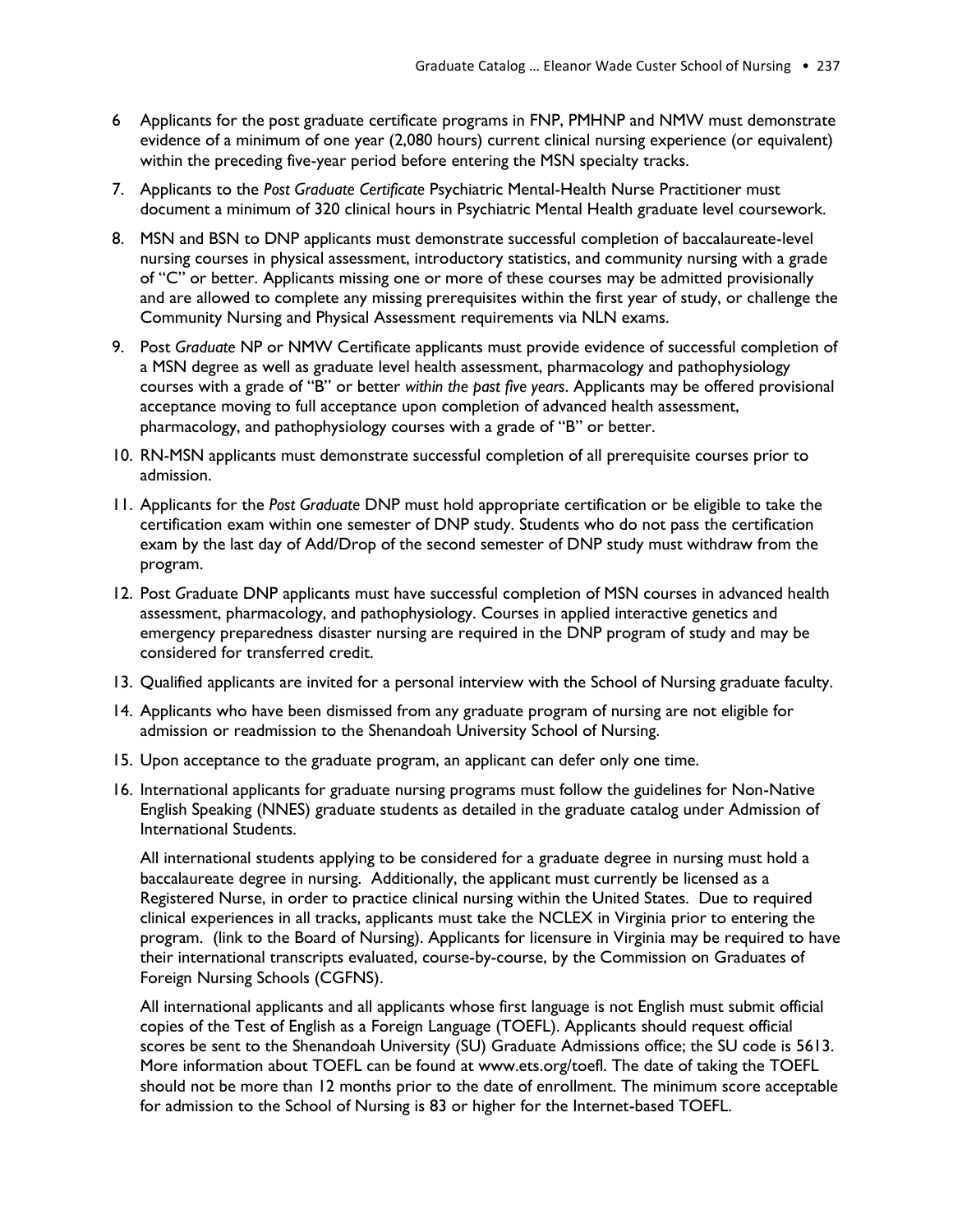- 6 Applicants for the post graduate certificate programs in FNP, PMHNP and NMW must demonstrate evidence of a minimum of one year (2,080 hours) current clinical nursing experience (or equivalent) within the preceding five-year period before entering the MSN specialty tracks.
- 7. Applicants to the *Post Graduate Certificate* Psychiatric Mental-Health Nurse Practitioner must document a minimum of 320 clinical hours in Psychiatric Mental Health graduate level coursework.
- 8. MSN and BSN to DNP applicants must demonstrate successful completion of baccalaureate-level nursing courses in physical assessment, introductory statistics, and community nursing with a grade of "C" or better. Applicants missing one or more of these courses may be admitted provisionally and are allowed to complete any missing prerequisites within the first year of study, or challenge the Community Nursing and Physical Assessment requirements via NLN exams.
- 9. Post *Graduate* NP or NMW Certificate applicants must provide evidence of successful completion of a MSN degree as well as graduate level health assessment, pharmacology and pathophysiology courses with a grade of "B" or better *within the past five years*. Applicants may be offered provisional acceptance moving to full acceptance upon completion of advanced health assessment, pharmacology, and pathophysiology courses with a grade of "B" or better.
- 10. RN-MSN applicants must demonstrate successful completion of all prerequisite courses prior to admission.
- 11. Applicants for the *Post Graduate* DNP must hold appropriate certification or be eligible to take the certification exam within one semester of DNP study. Students who do not pass the certification exam by the last day of Add/Drop of the second semester of DNP study must withdraw from the program.
- 12. Post *G*raduate DNP applicants must have successful completion of MSN courses in advanced health assessment, pharmacology, and pathophysiology. Courses in applied interactive genetics and emergency preparedness disaster nursing are required in the DNP program of study and may be considered for transferred credit.
- 13. Qualified applicants are invited for a personal interview with the School of Nursing graduate faculty.
- 14. Applicants who have been dismissed from any graduate program of nursing are not eligible for admission or readmission to the Shenandoah University School of Nursing.
- 15. Upon acceptance to the graduate program, an applicant can defer only one time.
- 16. International applicants for graduate nursing programs must follow the guidelines for Non-Native English Speaking (NNES) graduate students as detailed in the graduate catalog under Admission of International Students.

All international students applying to be considered for a graduate degree in nursing must hold a baccalaureate degree in nursing. Additionally, the applicant must currently be licensed as a Registered Nurse, in order to practice clinical nursing within the United States. Due to required clinical experiences in all tracks, applicants must take the NCLEX in Virginia prior to entering the program. (link to the Board of Nursing). Applicants for licensure in Virginia may be required to have their international transcripts evaluated, course-by-course, by the Commission on Graduates of Foreign Nursing Schools (CGFNS).

All international applicants and all applicants whose first language is not English must submit official copies of the Test of English as a Foreign Language (TOEFL). Applicants should request official scores be sent to the Shenandoah University (SU) Graduate Admissions office; the SU code is 5613. More information about TOEFL can be found at www.ets.org/toefl. The date of taking the TOEFL should not be more than 12 months prior to the date of enrollment. The minimum score acceptable for admission to the School of Nursing is 83 or higher for the Internet-based TOEFL.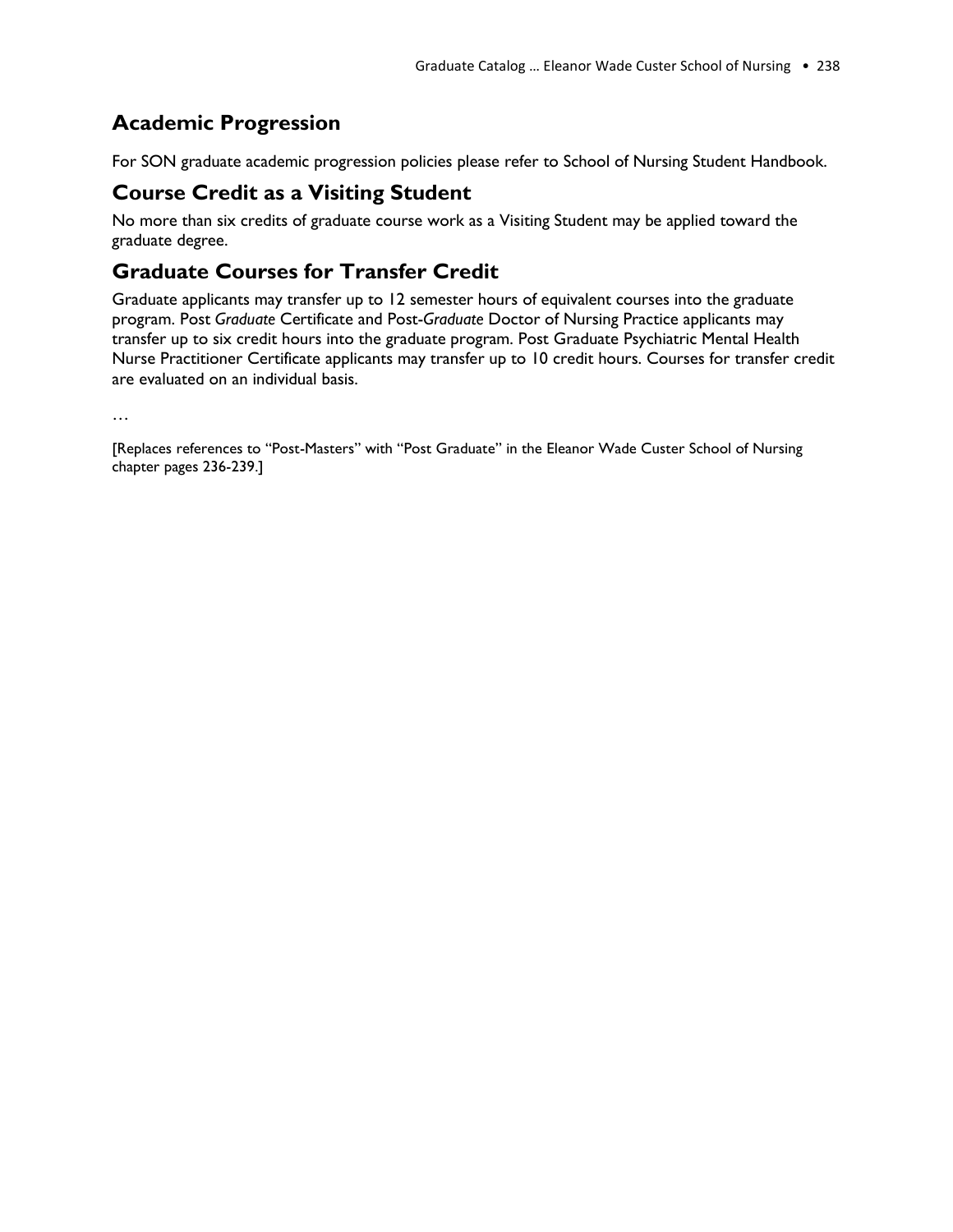#### **Academic Progression**

For SON graduate academic progression policies please refer to School of Nursing Student Handbook.

#### **Course Credit as a Visiting Student**

No more than six credits of graduate course work as a Visiting Student may be applied toward the graduate degree.

#### **Graduate Courses for Transfer Credit**

Graduate applicants may transfer up to 12 semester hours of equivalent courses into the graduate program. Post *Graduate* Certificate and Post-*Graduate* Doctor of Nursing Practice applicants may transfer up to six credit hours into the graduate program. Post Graduate Psychiatric Mental Health Nurse Practitioner Certificate applicants may transfer up to 10 credit hours. Courses for transfer credit are evaluated on an individual basis.

…

[Replaces references to "Post-Masters" with "Post Graduate" in the Eleanor Wade Custer School of Nursing chapter pages 236-239.]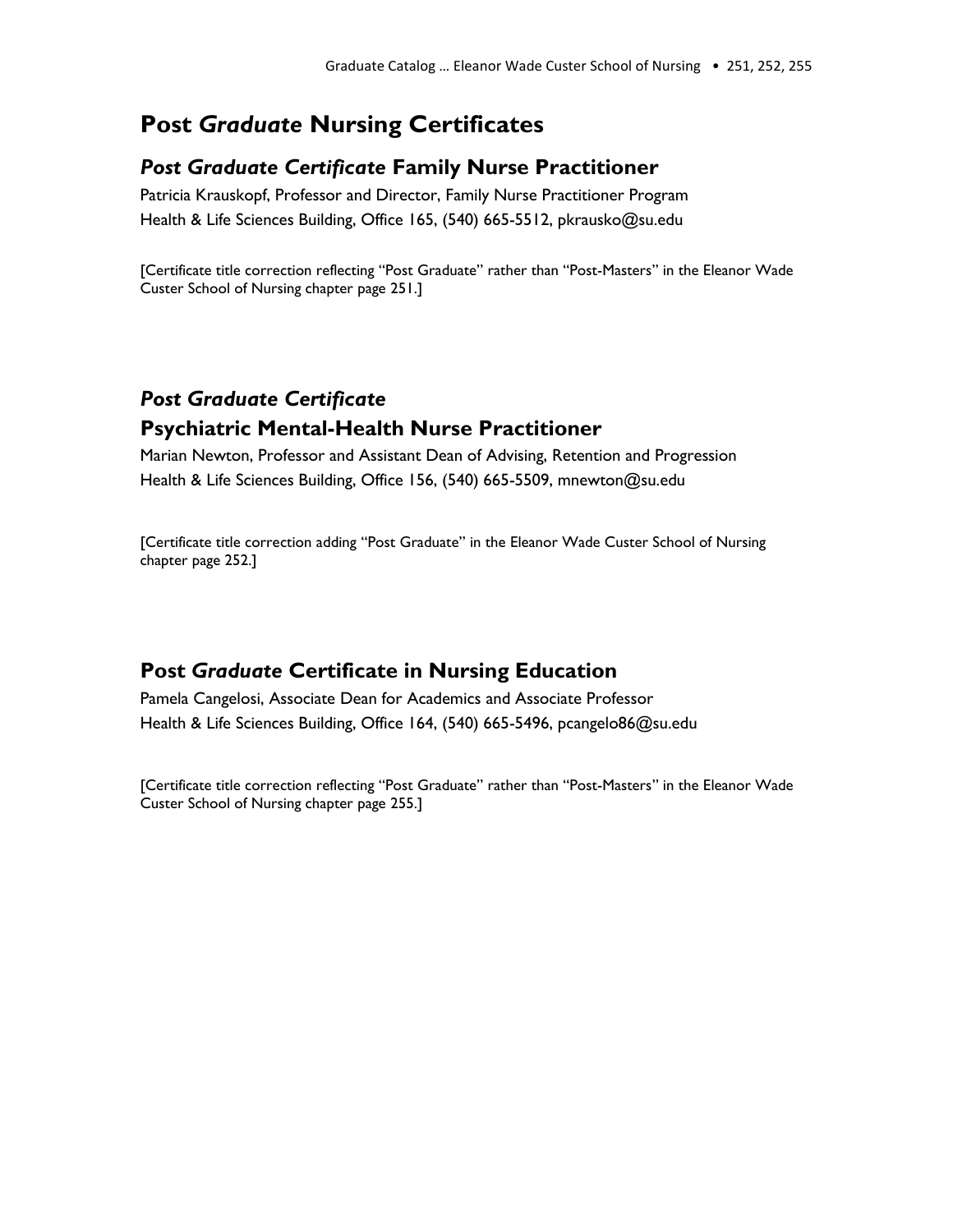### **Post** *Graduate* **Nursing Certificates**

#### *Post Graduate Certificate* **Family Nurse Practitioner**

Patricia Krauskopf, Professor and Director, Family Nurse Practitioner Program Health & Life Sciences Building, Office 165, (540) 665-5512, pkrausko@su.edu

[Certificate title correction reflecting "Post Graduate" rather than "Post-Masters" in the Eleanor Wade Custer School of Nursing chapter page 251.]

#### *Post Graduate Certificate* **Psychiatric Mental-Health Nurse Practitioner**

Marian Newton, Professor and Assistant Dean of Advising, Retention and Progression Health & Life Sciences Building, Office 156, (540) 665-5509, mnewton@su.edu

[Certificate title correction adding "Post Graduate" in the Eleanor Wade Custer School of Nursing chapter page 252.]

#### **Post** *Graduate* **Certificate in Nursing Education**

Pamela Cangelosi, Associate Dean for Academics and Associate Professor Health & Life Sciences Building, Office 164, (540) 665-5496, pcangelo86@su.edu

[Certificate title correction reflecting "Post Graduate" rather than "Post-Masters" in the Eleanor Wade Custer School of Nursing chapter page 255.]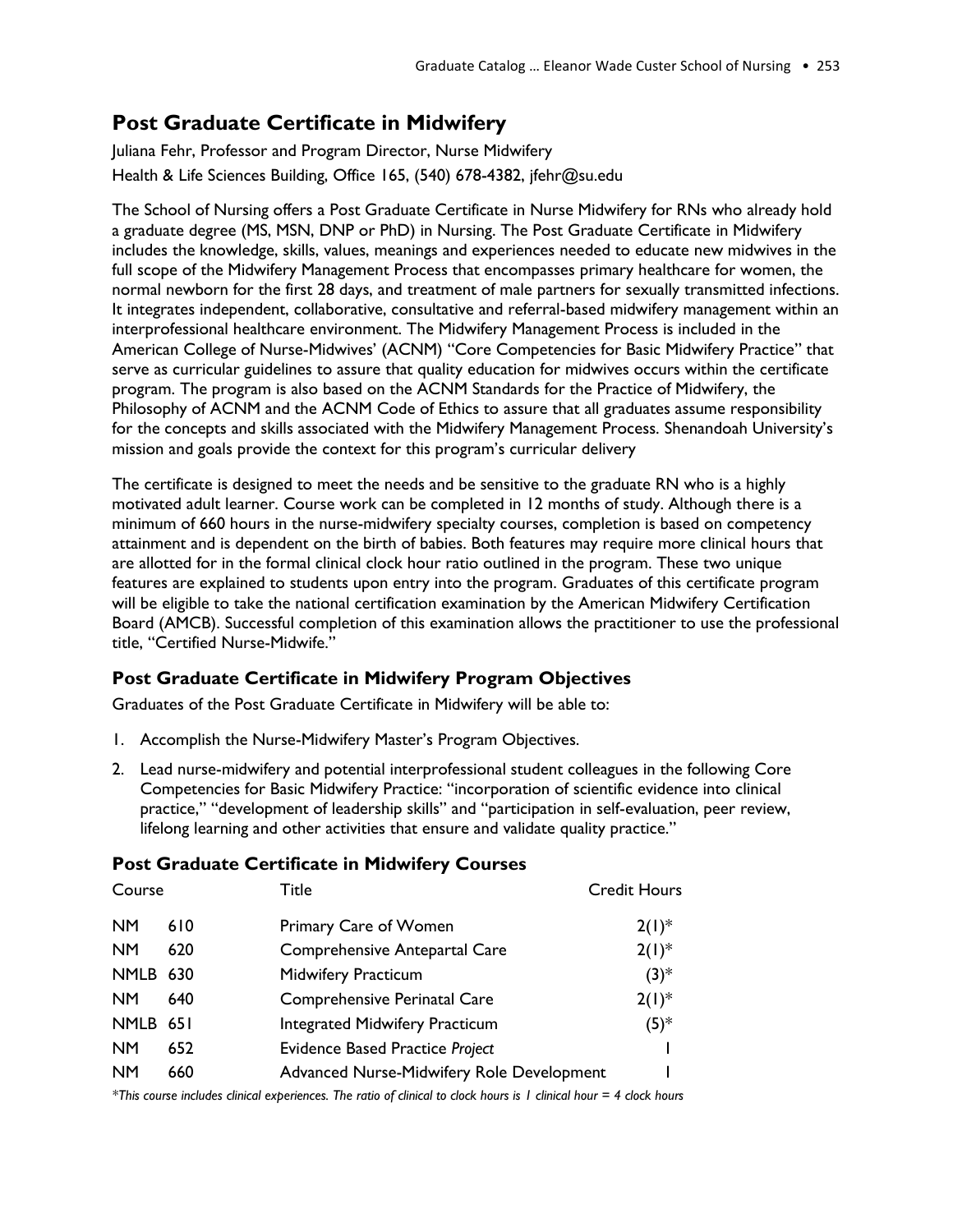#### **Post Graduate Certificate in Midwifery**

Juliana Fehr, Professor and Program Director, Nurse Midwifery Health & Life Sciences Building, Office 165, (540) 678-4382, jfehr@su.edu

The School of Nursing offers a Post Graduate Certificate in Nurse Midwifery for RNs who already hold a graduate degree (MS, MSN, DNP or PhD) in Nursing. The Post Graduate Certificate in Midwifery includes the knowledge, skills, values, meanings and experiences needed to educate new midwives in the full scope of the Midwifery Management Process that encompasses primary healthcare for women, the normal newborn for the first 28 days, and treatment of male partners for sexually transmitted infections. It integrates independent, collaborative, consultative and referral-based midwifery management within an interprofessional healthcare environment. The Midwifery Management Process is included in the American College of Nurse-Midwives' (ACNM) "Core Competencies for Basic Midwifery Practice" that serve as curricular guidelines to assure that quality education for midwives occurs within the certificate program. The program is also based on the ACNM Standards for the Practice of Midwifery, the Philosophy of ACNM and the ACNM Code of Ethics to assure that all graduates assume responsibility for the concepts and skills associated with the Midwifery Management Process. Shenandoah University's mission and goals provide the context for this program's curricular delivery

The certificate is designed to meet the needs and be sensitive to the graduate RN who is a highly motivated adult learner. Course work can be completed in 12 months of study. Although there is a minimum of 660 hours in the nurse-midwifery specialty courses, completion is based on competency attainment and is dependent on the birth of babies. Both features may require more clinical hours that are allotted for in the formal clinical clock hour ratio outlined in the program. These two unique features are explained to students upon entry into the program. Graduates of this certificate program will be eligible to take the national certification examination by the American Midwifery Certification Board (AMCB). Successful completion of this examination allows the practitioner to use the professional title, "Certified Nurse-Midwife."

#### **Post Graduate Certificate in Midwifery Program Objectives**

Graduates of the Post Graduate Certificate in Midwifery will be able to:

- 1. Accomplish the Nurse-Midwifery Master's Program Objectives.
- 2. Lead nurse-midwifery and potential interprofessional student colleagues in the following Core Competencies for Basic Midwifery Practice: "incorporation of scientific evidence into clinical practice," "development of leadership skills" and "participation in self-evaluation, peer review, lifelong learning and other activities that ensure and validate quality practice."

| Course    |     | Title                                     | <b>Credit Hours</b> |
|-----------|-----|-------------------------------------------|---------------------|
| <b>NM</b> | 610 | Primary Care of Women                     | $2(1)^{*}$          |
| <b>NM</b> | 620 | Comprehensive Antepartal Care             | $2(1)^{*}$          |
| NMLB 630  |     | <b>Midwifery Practicum</b>                | $(3)^{*}$           |
| <b>NM</b> | 640 | Comprehensive Perinatal Care              | $2(1)^{*}$          |
| NMLB 651  |     | <b>Integrated Midwifery Practicum</b>     | $(5)^*$             |
| <b>NM</b> | 652 | <b>Evidence Based Practice Project</b>    |                     |
| <b>NM</b> | 660 | Advanced Nurse-Midwifery Role Development |                     |
|           |     |                                           |                     |

#### **Post Graduate Certificate in Midwifery Courses**

*\*This course includes clinical experiences. The ratio of clinical to clock hours is 1 clinical hour = 4 clock hours*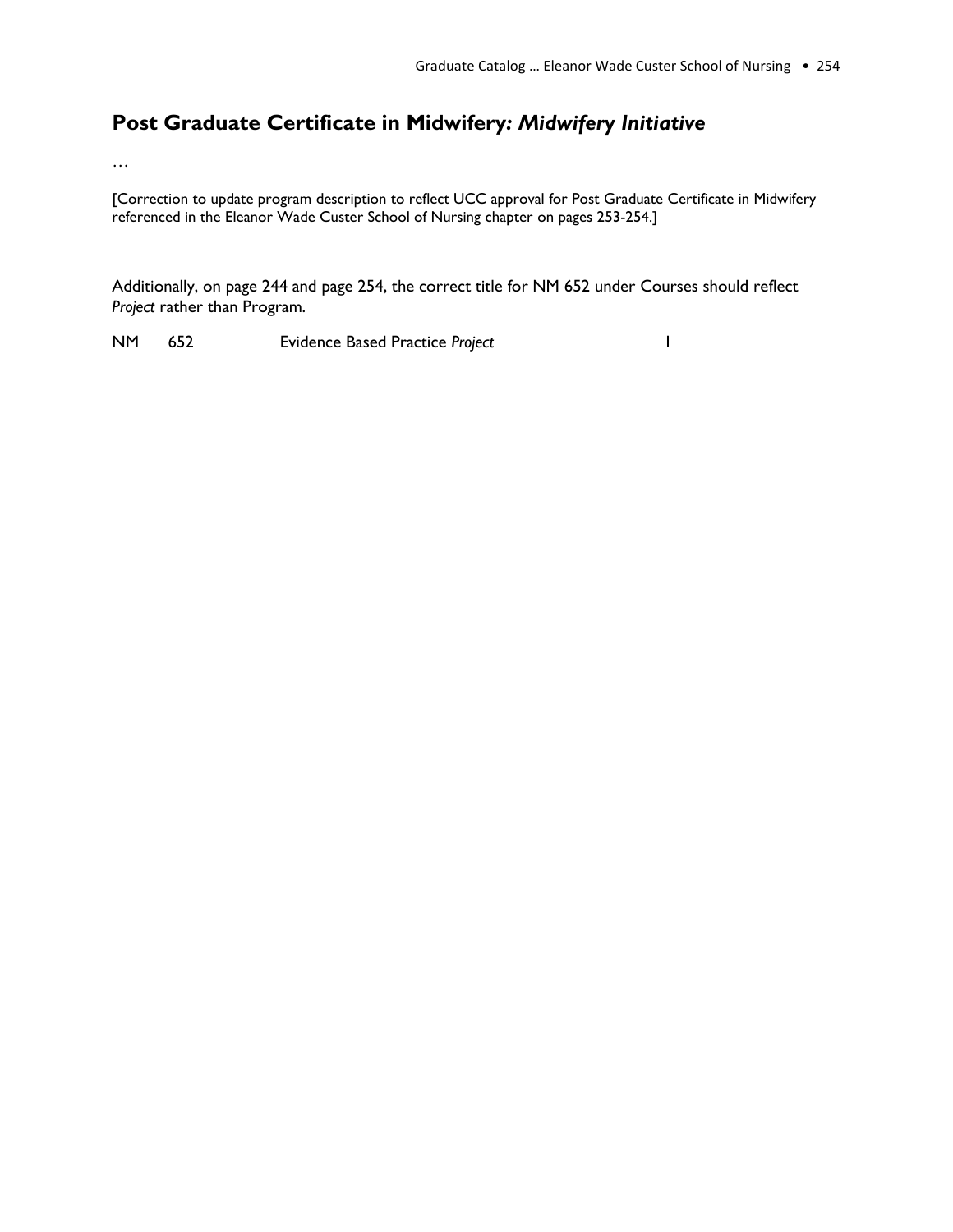#### **Post Graduate Certificate in Midwifery***: Midwifery Initiative*

…

[Correction to update program description to reflect UCC approval for Post Graduate Certificate in Midwifery referenced in the Eleanor Wade Custer School of Nursing chapter on pages 253-254.]

Additionally, on page 244 and page 254, the correct title for NM 652 under Courses should reflect *Project* rather than Program.

NM 652 Evidence Based Practice *Project* 1